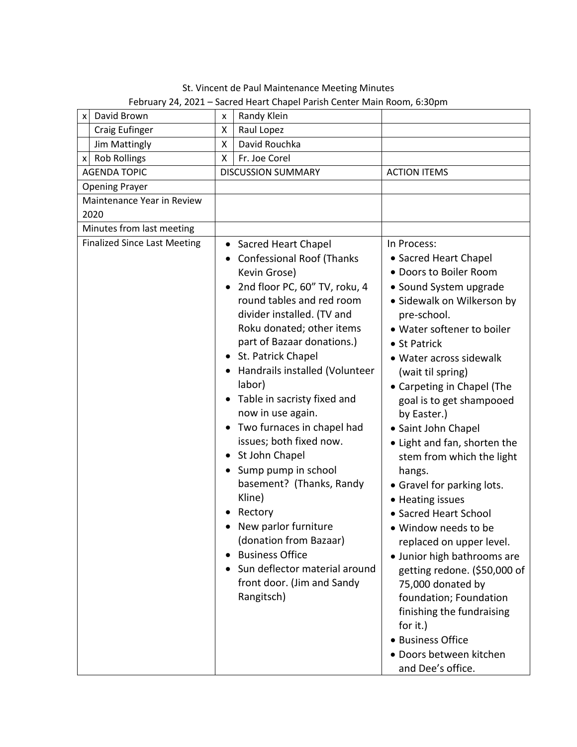St. Vincent de Paul Maintenance Meeting Minutes February 24, 2021 – Sacred Heart Chapel Parish Center Main Room, 6:30pm

| David Brown<br>x                    | x                         | Randy Klein                                                                                                                                                                                                                                                                                                                                                                                                                                                                                                                                                                                                                                                        |                                                                                                                                                                                                                                                                                                                                                                                                                                                                                                                                                                                                                                                                                                                                                                       |
|-------------------------------------|---------------------------|--------------------------------------------------------------------------------------------------------------------------------------------------------------------------------------------------------------------------------------------------------------------------------------------------------------------------------------------------------------------------------------------------------------------------------------------------------------------------------------------------------------------------------------------------------------------------------------------------------------------------------------------------------------------|-----------------------------------------------------------------------------------------------------------------------------------------------------------------------------------------------------------------------------------------------------------------------------------------------------------------------------------------------------------------------------------------------------------------------------------------------------------------------------------------------------------------------------------------------------------------------------------------------------------------------------------------------------------------------------------------------------------------------------------------------------------------------|
| <b>Craig Eufinger</b>               | Χ                         | Raul Lopez                                                                                                                                                                                                                                                                                                                                                                                                                                                                                                                                                                                                                                                         |                                                                                                                                                                                                                                                                                                                                                                                                                                                                                                                                                                                                                                                                                                                                                                       |
| Jim Mattingly                       | Χ                         | David Rouchka                                                                                                                                                                                                                                                                                                                                                                                                                                                                                                                                                                                                                                                      |                                                                                                                                                                                                                                                                                                                                                                                                                                                                                                                                                                                                                                                                                                                                                                       |
| x Rob Rollings                      | X                         | Fr. Joe Corel                                                                                                                                                                                                                                                                                                                                                                                                                                                                                                                                                                                                                                                      |                                                                                                                                                                                                                                                                                                                                                                                                                                                                                                                                                                                                                                                                                                                                                                       |
| <b>AGENDA TOPIC</b>                 | <b>DISCUSSION SUMMARY</b> |                                                                                                                                                                                                                                                                                                                                                                                                                                                                                                                                                                                                                                                                    | <b>ACTION ITEMS</b>                                                                                                                                                                                                                                                                                                                                                                                                                                                                                                                                                                                                                                                                                                                                                   |
| <b>Opening Prayer</b>               |                           |                                                                                                                                                                                                                                                                                                                                                                                                                                                                                                                                                                                                                                                                    |                                                                                                                                                                                                                                                                                                                                                                                                                                                                                                                                                                                                                                                                                                                                                                       |
| Maintenance Year in Review          |                           |                                                                                                                                                                                                                                                                                                                                                                                                                                                                                                                                                                                                                                                                    |                                                                                                                                                                                                                                                                                                                                                                                                                                                                                                                                                                                                                                                                                                                                                                       |
| 2020                                |                           |                                                                                                                                                                                                                                                                                                                                                                                                                                                                                                                                                                                                                                                                    |                                                                                                                                                                                                                                                                                                                                                                                                                                                                                                                                                                                                                                                                                                                                                                       |
| Minutes from last meeting           |                           |                                                                                                                                                                                                                                                                                                                                                                                                                                                                                                                                                                                                                                                                    |                                                                                                                                                                                                                                                                                                                                                                                                                                                                                                                                                                                                                                                                                                                                                                       |
| <b>Finalized Since Last Meeting</b> | $\bullet$<br>$\bullet$    | Sacred Heart Chapel<br><b>Confessional Roof (Thanks</b><br>Kevin Grose)<br>2nd floor PC, 60" TV, roku, 4<br>round tables and red room<br>divider installed. (TV and<br>Roku donated; other items<br>part of Bazaar donations.)<br>St. Patrick Chapel<br>Handrails installed (Volunteer<br>labor)<br>Table in sacristy fixed and<br>now in use again.<br>Two furnaces in chapel had<br>issues; both fixed now.<br>• St John Chapel<br>Sump pump in school<br>basement? (Thanks, Randy<br>Kline)<br>Rectory<br>New parlor furniture<br>(donation from Bazaar)<br><b>Business Office</b><br>Sun deflector material around<br>front door. (Jim and Sandy<br>Rangitsch) | In Process:<br>• Sacred Heart Chapel<br>· Doors to Boiler Room<br>• Sound System upgrade<br>· Sidewalk on Wilkerson by<br>pre-school.<br>· Water softener to boiler<br>• St Patrick<br>· Water across sidewalk<br>(wait til spring)<br>• Carpeting in Chapel (The<br>goal is to get shampooed<br>by Easter.)<br>• Saint John Chapel<br>• Light and fan, shorten the<br>stem from which the light<br>hangs.<br>• Gravel for parking lots.<br>• Heating issues<br>• Sacred Heart School<br>· Window needs to be<br>replaced on upper level.<br>• Junior high bathrooms are<br>getting redone. (\$50,000 of<br>75,000 donated by<br>foundation; Foundation<br>finishing the fundraising<br>for it.)<br>· Business Office<br>· Doors between kitchen<br>and Dee's office. |